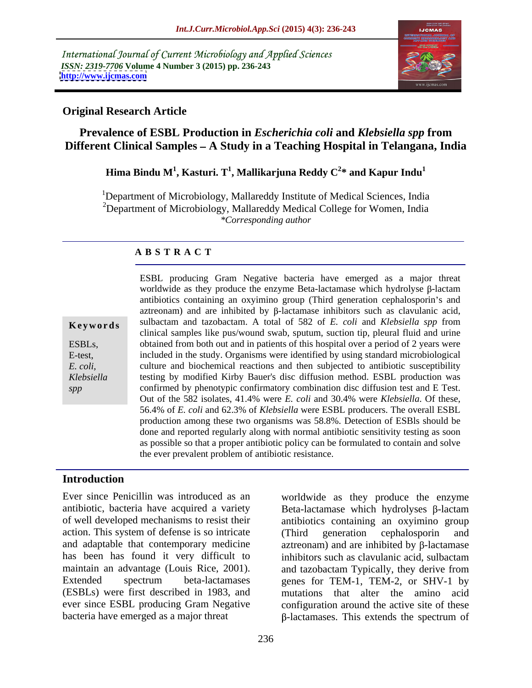International Journal of Current Microbiology and Applied Sciences *ISSN: 2319-7706* **Volume 4 Number 3 (2015) pp. 236-243 <http://www.ijcmas.com>**



### **Original Research Article**

# **Prevalence of ESBL Production in** *Escherichia coli* **and** *Klebsiella spp* **from Different Clinical Samples – A Study in a Teaching Hospital in Telangana, India**

#### **Hima Bindu M<sup>1</sup> , Kasturi. T<sup>1</sup> , Mallikarjuna Reddy C<sup>2</sup> \* and Kapur Indu<sup>1</sup>**

<sup>1</sup>Department of Microbiology, Mallareddy Institute of Medical Sciences, India  $2$ Department of Microbiology, Mallareddy Medical College for Women, India *\*Corresponding author*

#### **A B S T R A C T**

*spp*

ESBL producing Gram Negative bacteria have emerged as a major threat worldwide as they produce the enzyme Beta-lactamase which hydrolyse  $\beta$ -lactam antibiotics containing an oxyimino group (Third generation cephalosporin's and  $a$ ztreonam) and are inhibited by  $\beta$ -lactamase inhibitors such as clavulanic acid, sulbactam and tazobactam. A total of 582 of *E. coli* and *Klebsiella spp* from **Ke ywo rds** clinical samples like pus/wound swab, sputum, suction tip, pleural fluid and urine ESBLs, butained from both out and in patients of this hospital over a period of 2 years were included in the study. Organisms were identified by using standard microbiological E-test, culture and biochemical reactions and then subjected to antibiotic susceptibility *E. coli,*  testing by modified Kirby Bauer's disc diffusion method. ESBL production was *Klebsiella* confirmed by phenotypic confirmatory combination disc diffusion test and E Test. Out of the 582 isolates, 41.4% were *E. coli* and 30.4% were *Klebsiella*. Of these, 56.4% of *E. coli* and 62.3% of *Klebsiella* were ESBL producers. The overall ESBL production among these two organisms was 58.8%. Detection of ESBls should be done and reported regularly along with normal antibiotic sensitivity testing as soon as possible so that a proper antibiotic policy can be formulated to contain and solve the ever prevalent problem of antibiotic resistance.

# **Introduction**

Ever since Penicillin was introduced as an worldwide as they produce the enzyme action. This system of defense is so intricate (Third generation cephalosporin and has been has found it very difficult to inhibitors such as clavulanic acid, sulbactam maintain an advantage (Louis Rice, 2001). ever since ESBL producing Gram Negative bacteria have emerged as a major threat  $\beta$ -lactamases. This extends the spectrum of

antibiotic, bacteria have acquired a variety  $Beta$ -lactamase which hydrolyses  $\beta$ -lactam of well developed mechanisms to resist their antibiotics containing an oxyimino group and adaptable that contemporary medicine  $\alpha$  aztreonam) and are inhibited by  $\beta$ -lactamase Extended spectrum beta-lactamases genes for TEM-1, TEM-2, or SHV-1 by (ESBLs) were first described in 1983, and mutations that alter the amino acid (Third generation cephalosporin and inhibitors such as clavulanic acid, sulbactam and tazobactam Typically, they derive from configuration around the active site of these -lactamases. This extends the spectrum of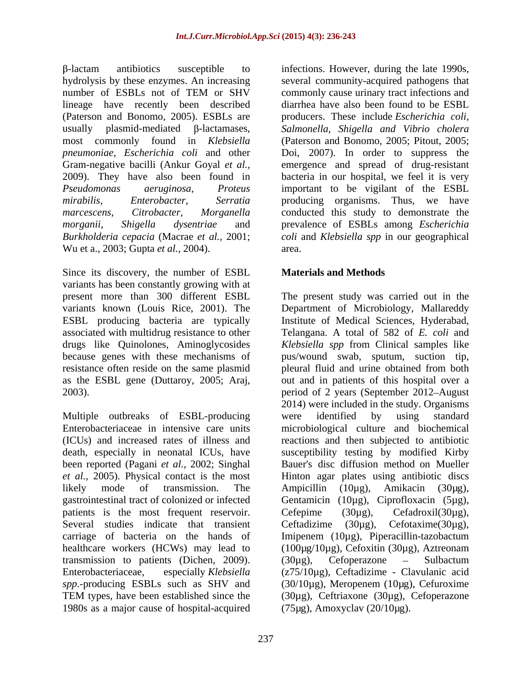hydrolysis by these enzymes. An increasing several community-acquired pathogens that number of ESBLs not of TEM or SHV commonly cause urinary tract infections and lineage have recently been described diarrhea have also been found to be ESBL (Paterson and Bonomo, 2005). ESBLs are producers. These include *Escherichia coli*, usually plasmid-mediated  $\beta$ -lactamases, Salmonella, Shigella and Vibrio cholera most commonly found in *Klebsiella* (Paterson and Bonomo, 2005; Pitout, 2005; *pneumoniae*, *Escherichia coli* and other Doi, 2007). In order to suppress the Gram-negative bacilli (Ankur Goyal *et al.,* emergence and spread of drug-resistant 2009). They have also been found in bacteria in our hospital, we feel it is very *Pseudomonas aeruginosa, Proteus* important to be vigilant of the ESBL *mirabilis, Enterobacter, Serratia* producing organisms. Thus, we have *marcescens, Citrobacter, Morganella* conducted this study to demonstrate the *morganii, Shigella dysentriae* and prevalence of ESBLs among *Escherichia Burkholderia cepacia* (Macrae *et al.,* 2001; *coli* and *Klebsiella spp* in our geographical Wu et a., 2003; Gupta *et al.,* 2004).

Since its discovery, the number of ESBL variants has been constantly growing with at associated with multidrug resistance to other

Multiple outbreaks of ESBL-producing were identified by using standard Enterobacteriaceae in intensive care units microbiological culture and biochemical (ICUs) and increased rates of illness and reactions and then subjected to antibiotic death, especially in neonatal ICUs, have susceptibility testing by modified Kirby been reported (Pagani *et al.,* 2002; Singhal *et al.,* 2005).Physical contact is the most Hinton agar plates using antibiotic discs likely mode of transmission. The Ampicillin (10µg), Amikacin (30µg), gastrointestinal tract of colonized or infected Gentamicin (10µg), Ciprofloxacin (5µg), patients is the most frequent reservoir. Cefepime (30µg), Cefadroxil(30µg), Several studies indicate that transient Ceftadizime  $(30\mu g)$ , Cefotaxime $(30\mu g)$ , carriage of bacteria on the hands of Imipenem (10µg), Piperacillin-tazobactum healthcare workers (HCWs) may lead to (100µg/10µg), Cefoxitin (30µg), Aztreonam transmission to patients (Dichen, 2009). (30µg), Cefoperazone – Sulbactum Enterobacteriaceae, especially *Klebsiella* (z75/10µg), Ceftadizime - Clavulanic acid *spp*.-producing ESBLs such as SHV and (30/10µg), Meropenem (10µg), Cefuroxime TEM types, have been established since the (30µg), Ceftriaxone (30µg), Cefoperazone 1980s as a major cause of hospital-acquired

237

-lactam antibiotics susceptible to infections. However, during the late 1990s, commonly cause urinary tract infections and producers. These include *Escherichia coli, Salmonella, Shigella and Vibrio cholera* area.

# **Materials and Methods**

present more than 300 different ESBL The present study was carried out in the variants known (Louis Rice, 2001). The Department of Microbiology, Mallareddy ESBL producing bacteria are typically Institute of Medical Sciences, Hyderabad, drugs like Quinolones, Aminoglycosides *Klebsiella spp* from Clinical samples like because genes with these mechanisms of pus/wound swab, sputum, suction tip, resistance often reside on the same plasmid pleural fluid and urine obtained from both as the ESBL gene (Duttaroy, 2005; Araj, out and in patients of this hospital over a 2003). period of 2 years (September 2012 August Telangana. A total of 582 of *E. coli* and 2014) were included in the study. Organisms were identified by using standard Bauer's disc diffusion method on Mueller Ampicillin (10µg), Amikacin (30µg), Cefepime (30µg), Cefadroxil(30µg), Ceftadizime  $(30\mu g)$ ,  $(30\mu g)$ , Cefoperazone – Sulbactum (75µg), Amoxyclav (20/10µg).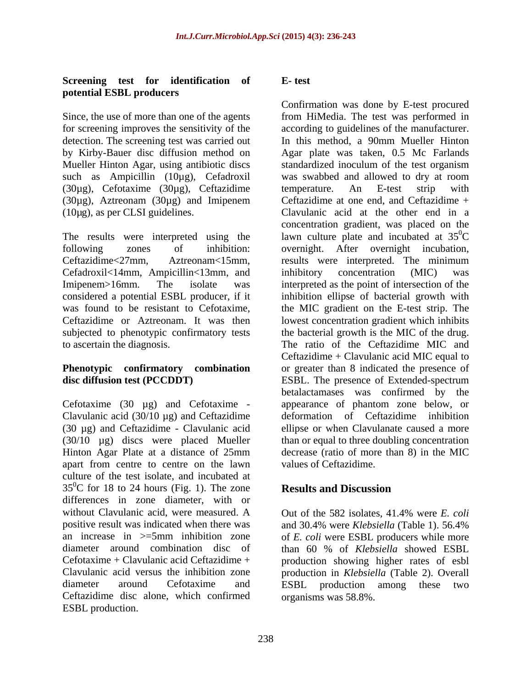### **Screening test for identification of potential ESBL producers**

such as Ampicillin (10µg), Cefadroxil was swabbed and allowed to dry at room  $(30\mu g)$ , Cefotaxime  $(30\mu g)$ , Ceftazidime temperature. An E-test strip with (30µg), Aztreonam (30µg) and Imipenem

The results were interpreted using the Cefadroxil<14mm, Ampicillin<13mm, and

(30 µg) and Ceftazidime - Clavulanic acid (30/10 µg) discs were placed Mueller Hinton Agar Plate at a distance of 25mm apart from centre to centre on the lawn culture of the test isolate, and incubated at  $35^{\circ}$ C for 18 to 24 hours (Fig. 1). The zone **Results and Discussion** differences in zone diameter, with or without Clavulanic acid, were measured. A Cut of the 582 isolates, 41.4% were E. coli positive result was indicated when there was and 30.4% were *Klebsiella* (Table 1). 56.4% an increase in  $>=5$ mm inhibition zone of *E. coli* were ESBL producers while more diameter around combination disc of than 60 % of Klebsiella showed ESBL Cefotaxime + Clavulanic acid Ceftazidime + production showing higher rates of esbl Clavulanic acid versus the inhibition zone production in *Klebsiella* (Table 2). Overall diameter around Cefotaxime and ESBL production among these two Ceftazidime disc alone, which confirmed ESBL production.

# **E- test**

Since, the use of more than one of the agents from HiMedia. The test was performed in for screening improves the sensitivity of the according to guidelines of the manufacturer. detection. The screening test was carried out In this method, a 90mm Mueller Hinton by Kirby-Bauer disc diffusion method on Agar plate was taken, 0.5 Mc Farlands Mueller Hinton Agar, using antibiotic discs standardized inoculum of the test organism (10µg), as per CLSI guidelines. Clavulanic acid at the other end in a following zones of inhibition: overnight. After overnight incubation, Ceftazidime<27mm, Aztreonam<15mm, results were interpreted. The minimum Imipenem>16mm. The isolate was interpreted as the point of intersection of the considered a potential ESBL producer, if it inhibition ellipse of bacterial growth with was found to be resistant to Cefotaxime, the MIC gradient on the E-test strip. The Ceftazidime or Aztreonam. It was then lowest concentration gradient which inhibits subjected to phenotypic confirmatory tests the bacterial growth is the MIC of the drug. to ascertain the diagnosis. The ratio of the Ceftazidime MIC and **Phenotypic** confirmatory combination or greater than 8 indicated the presence of **disc diffusion test (PCCDDT)** ESBL. The presence of Extended-spectrum Cefotaxime (30 µg) and Cefotaxime - appearance of phantom zone below, or Clavulanic acid (30/10 µg) and Ceftazidime deformation of Ceftazidime inhibition Confirmation was done by E-test procured was swabbed and allowed to dry at room temperature. An E-test strip with Ceftazidime at one end, and Ceftazidime + concentration gradient, was placed on the lawn culture plate and incubated at  $35^{\circ}$ C  $\rm{^{0}C}$ inhibitory concentration (MIC) was the MIC gradient on the E-test strip. The lowest concentration gradient which inhibits Ceftazidime + Clavulanic acid MIC equal to betalactamases was confirmed by the ellipse or when Clavulanate caused a more than or equal to three doubling concentration decrease (ratio of more than 8) in the MIC values of Ceftazidime.

# **Results and Discussion**

Out of the 582 isolates, 41.4% were *E. coli* and 30.4% were *Klebsiella* (Table 1). 56.4% than 60 % of *Klebsiella* showed ESBL organisms was 58.8%.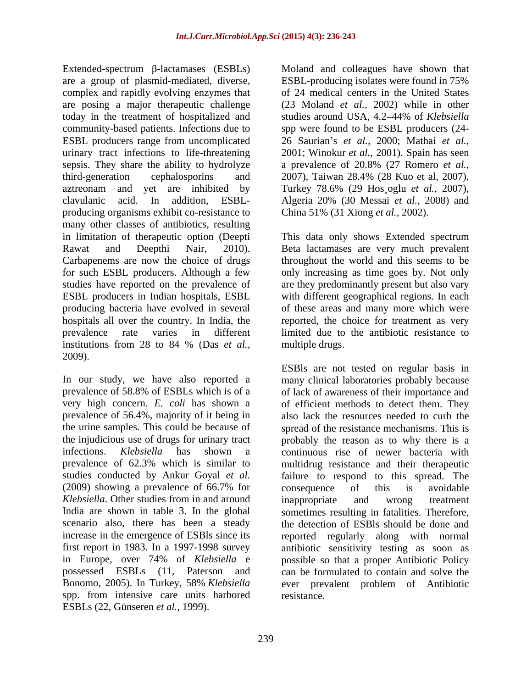Extended-spectrum  $\beta$ -lactamases (ESBLs) are a group of plasmid-mediated, diverse, ESBL-producing isolates were found in 75% complex and rapidly evolving enzymes that are posing a major therapeutic challenge (23 Moland *et al.,* 2002) while in other today in the treatment of hospitalized and studies around USA, 4.2–44% of Klebsiella community-based patients. Infections due to spp were found to be ESBL producers (24- ESBL producers range from uncomplicated 26 Saurian's *et al.*, 2000; Mathai *et al.*, urinary tract infections to life-threatening 2001; Winokur *et al.,* 2001). Spain has seen sepsis. They share the ability to hydrolyze a prevalence of 20.8% (27 Romero *et al.*, third-generation cephalosporins and 2007), Taiwan 28.4% (28 Kuo et al. 2007), aztreonam and yet are inhibited by Turkey 78.6% (29 Hos oglu *et al.*, 2007), clavulanic acid. In addition, ESBL producing organisms exhibit co-resistance to many other classes of antibiotics, resulting in limitation of therapeutic option (Deepti This data only shows Extended spectrum Rawat and Deepthi Nair, 2010). Beta lactamases are very much prevalent Carbapenems are now the choice of drugs for such ESBL producers. Although a few only increasing as time goes by. Not only studies have reported on the prevalence of ESBL producers in Indian hospitals, ESBL with different geographical regions. In each producing bacteria have evolved in several of these areas and many more which were hospitals all over the country. In India, the reported, the choice for treatment as very prevalence rate varies in different limited due to the antibiotic resistance to institutions from 28 to 84 % (Das *et al.,* 2009).

the urine samples. This could be because of in Europe, over 74% of *Klebsiella* e spp. from intensive care units harbored ESBLs (22, Günseren *et al.,* 1999).

Moland and colleagues have shown that of 24 medical centers in the United States studies around USA, 4.2–44% of *Klebsiella* a prevalence of 20.8% (27 Romero *et al.,* 2007), Taiwan 28.4% (28 Kuo et al, 2007), Turkey 78.6% (29 Hos¸oglu *et al.,* 2007), Algeria 20% (30 Messai *et al.,* 2008) and China 51% (31 Xiong *et al.,* 2002).

throughout the world and this seems to be are they predominantly present but also vary multiple drugs.

In our study, we have also reported a many clinical laboratories probably because prevalence of 58.8% of ESBLs which is of a of lack of awareness of their importance and very high concern. *E. coli* has shown a of efficient methods to detect them. They prevalence of 56.4%, majority of it being in also lack the resources needed to curb the the injudicious use of drugs for urinary tract probably the reason as to why there is a infections. *Klebsiella* has shown a continuous rise of newer bacteria with prevalence of 62.3% which is similar to multidrug resistance and their therapeutic studies conducted by Ankur Goyal *et al.* failure to respond to this spread. The (2009) showing a prevalence of 66.7% for *Klebsiella*. Other studies from in and around India are shown in table 3. In the global sometimes resulting in fatalities. Therefore, scenario also, there has been a steady the detection of ESBls should be done and increase in the emergence of ESBIs since its reported regularly along with normal first report in 1983. In a 1997-1998 survey antibiotic sensitivity testing as soon as possessed ESBLs (11, Paterson and can be formulated to contain and solve the Bonomo, 2005). In Turkey, 58% *Klebsiella* ever prevalent problem of Antibiotic ESBls are not tested on regular basis in spread of the resistance mechanisms. This is consequence of this is avoidable inappropriate and wrong treatment possible so that a proper Antibiotic Policy resistance.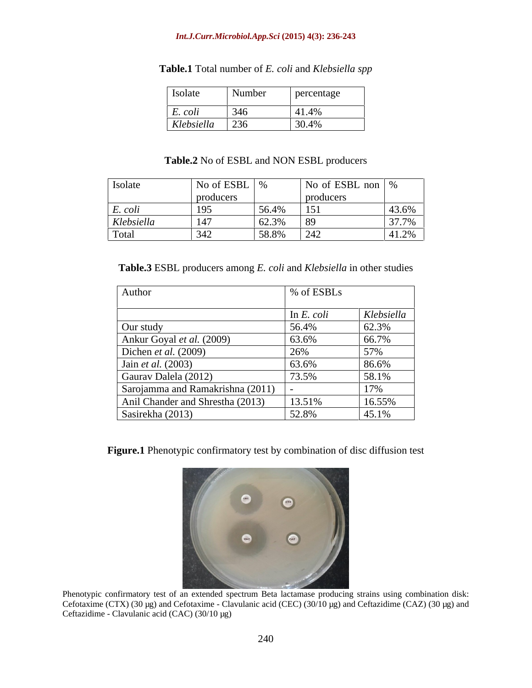#### *Int.J.Curr.Microbiol.App.Sci* **(2015) 4(3): 236-243**

| <b>Isolate</b>     | Number | percentage |
|--------------------|--------|------------|
|                    |        |            |
| $E. \text{ } coli$ | 346    | 41.4%      |
| Klebsiella         | 236    | 30.4%      |

#### **Table.1** Total number of *E. coli* and *Klebsiella spp*

#### **Table.2** No of ESBL and NON ESBL producers

| Isolate    | No of ESBL   %       |                         |                             | No of ESBL non   %    |
|------------|----------------------|-------------------------|-----------------------------|-----------------------|
|            | producers            |                         | producers                   |                       |
| E. coli    | $\sqrt{10}$<br>1 J J | $\sqrt{56}$ $\sqrt{40}$ | $\vert$ 151                 | 43.6%                 |
| Klebsiella | $\vert$ 147          | 62.3%                   |                             | 37.7%                 |
| Total      | $\sqrt{342}$<br>ີ⊤∠  | 58.8%                   | $\bigcap$ $\bigcap$<br>▏∠┱∠ | $11.20\%$<br>$+1.270$ |

**Table.3** ESBL producers among *E. coli* and *Klebsiella* in other studies

| Author                             | $\frac{1}{2}$ % of ESBLs |            |
|------------------------------------|--------------------------|------------|
|                                    | In $E.$ coli             | Klebsiella |
| Our study                          | 56.4%                    | 62.3%      |
| Ankur Goyal et al. (2009)          | 63.6%                    | 66.7%      |
| Dichen et al. $(2009)$             | 26%                      | 57%        |
| Jain <i>et al.</i> $(2003)$        | 63.6%                    | 86.6%      |
| Gaurav Dalela (2012)               | 73.5%                    | 58.1%      |
| Sarojamma and Ramakrishna (2011) - |                          | 17%        |
| Anil Chander and Shrestha (2013)   | 13.51%                   | 16.55%     |
| Sasirekha (2013)                   | 52.8%                    | 45.1%      |

**Figure.1** Phenotypic confirmatory test by combination of disc diffusion test



Phenotypic confirmatory test of an extended spectrum Beta lactamase producing strains using combination disk: Cefotaxime (CTX) (30 µg) and Cefotaxime - Clavulanic acid (CEC) (30/10 µg) and Ceftazidime (CAZ) (30 µg) and Ceftazidime - Clavulanic acid (CAC) (30/10 µg)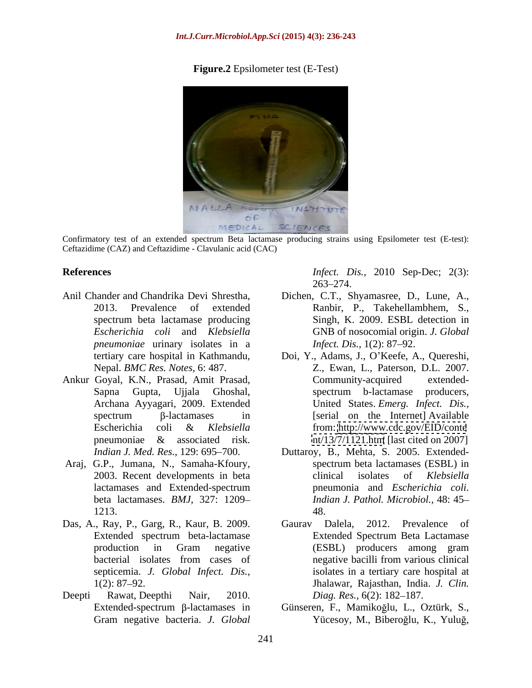### **Figure.2** Epsilometer test (E-Test)



Confirmatory test of an extended spectrum Beta lactamase producing strains using Epsilometer test (E-test): Ceftazidime (CAZ) and Ceftazidime - Clavulanic acid (CAC)

- *pneumoniae* urinary isolates in a *Infect. Dis.*, 1(2): 87–92.
- 
- beta lactamases. *BMJ,* 327: 1209
- 
- Deepti Rawat, Deepthi Nair, 2010. Diag. Res., 6(2): 182–187.

**References** *Infect. Dis.,* 2010 Sep-Dec; 2(3): 263–274.

- Anil Chander and Chandrika Devi Shrestha, Dichen, C.T., Shyamasree, D., Lune, A., 2013. Prevalence of extended Ranbir, P., Takehellambhem, S., spectrum beta lactamase producing Singh, K. 2009. ESBL detection in *Escherichia coli* and *Klebsiella*  GNB of nosocomial origin. *J. Global Infect. Dis.,* 1(2): 87–92.
- tertiary care hospital in Kathmandu, Doi, Y., Adams, J., O Keefe, A., Quereshi, Nepal. *BMC Res. Notes,* 6: 487. Z., Ewan, L., Paterson, D.L. 2007. Ankur Goyal, K.N., Prasad, Amit Prasad, Sapna Gupta, Ujjala Ghoshal, Archana Ayyagari, 2009. Extended United States. *Emerg. Infect. Dis.,*  $spectrum$   $\beta$ -lactamases in [serial on the Internet] Available Escherichia coli & *Klebsiella*  pneumoniae & associated risk.  $nt/13/7/1121$ .htm [last cited on 2007] Community-acquired extended spectrum b-lactamase producers, [serial on the Internet] Available from: <http://www.cdc.gov/EID/conte> <nt/13/7/1121.htm> [last cited on 2007]
- *Indian J. Med. Res.,* 129: 695 700. Duttaroy, B., Mehta, S. 2005. Extended- Araj, G.P., Jumana, N., Samaha-Kfoury, 2003. Recent developments in beta clinical isolates of Klebsiella lactamases and Extended-spectrum pneumonia and *Escherichia coli*. 1213. spectrum beta lactamases (ESBL) in clinical isolates of *Klebsiella Indian J. Pathol. Microbiol.,* 48: 45 48.
- Das, A., Ray, P., Garg, R., Kaur, B. 2009. Gaurav Dalela, 2012. Prevalence of Extended spectrum beta-lactamase production in Gram negative bacterial isolates from cases of septicemia. *J. Global Infect. Dis.,* isolates in a tertiary care hospital at 1(2): 87 92. Jhalawar, Rajasthan, India. *J. Clin.* Gaurav Dalela, 2012. Prevalence of Extended Spectrum Beta Lactamase (ESBL) producers among gram negative bacilli from various clinical *Diag. Res.,* 6(2): 182–187.
	- Extended-spectrum β-lactamases in Günseren, F., Mamikoğlu, L., Oztürk, S., Gram negative bacteria. *J. Global* Yücesoy, M., Biberoğlu, K., Yuluğ,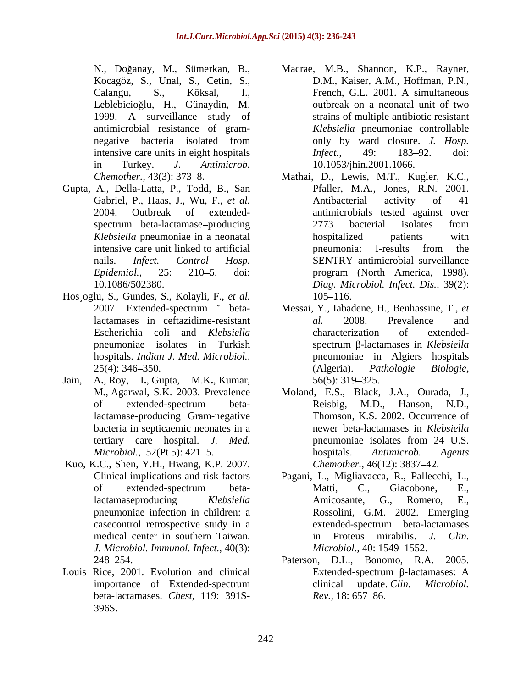Kocagöz, S., Unal, S., Cetin, S.,

- Gupta, A., Della-Latta, P., Todd, B., San
- Hos¸oglu, S., Gundes, S., Kolayli, F., *et al.*
- Jain, A**.**, Roy, I**.**, Gupta, M.K**.**, Kumar, bacteria in septicaemic neonates in a
- Kuo, K.C., Shen, Y.H., Hwang, K.P. 2007. *J. Microbiol. Immunol. Infect.,* 40(3):
- Louis Rice, 2001. Evolution and clinical Extended-spectrum  $\beta$ -lactamases: A beta-lactamases. *Chest,* 119: 391S- 396S.
- N., Doğanay, M., Sümerkan, B., Macrae, M.B., Shannon, K.P., Rayner, Calangu, S., Köksal, I., Leblebicioğlu, H., Günaydin, M. outbreak on a neonatal unit of two 1999. A surveillance study of strains of multiple antibiotic resistant antimicrobial resistance of gram- *Klebsiella* pneumoniae controllable negative bacteria isolated from only by ward closure. J. Hosp. intensive care units in eight hospitals *Infect.*, 49: 183–92. doi: in Turkey. *J. Antimicrob.* D.M., Kaiser, A.M., Hoffman, P.N., French, G.L. 2001. A simultaneous only by ward closure. *J. Hosp. Infect.,* 49: 183–92. doi: 10.1053/jhin.2001.1066.
- *Chemother.,* 43(3): 373–8. Mathai, D., Lewis, M.T., Kugler, K.C., Gabriel, P., Haas, J., Wu, F., *et al.* Antibacterial activity of 41 2004. Outbreak of extended- antimicrobials tested against over spectrum beta-lactamase-producing 2773 bacterial isolates from *Klebsiella* pneumoniae in a neonatal intensive care unit linked to artificial pneumonia: I-results from the nails. *Infect. Control Hosp. Epidemiol.*, 25: 210–5. doi: program (North America, 1998). 10.1086/502380. *Diag. Microbiol. Infect. Dis.,* 39(2): Pfaller, M.A., Jones, R.N. 2001. Antibacterial activity of 41 2773 bacterial isolates from hospitalized patients with pneumonia: I-results from the SENTRY antimicrobial surveillance program (North America, 1998). 105–116.
- 2007. Extended-spectrum beta-Messai, Y., Iabadene, H., Benhassine, T., *et*  lactamases in ceftazidime-resistant al. 2008. Prevalence and Escherichia coli and *Klebsiella*  pneumoniae isolates in Turkish spectrum  $\beta$ -lactamases in Klebsiella hospitals. *Indian J. Med. Microbiol.,* pneumoniae in Algiers hospitals 25(4): 346–350. (Algeria). Pathologie Biologie, *al.* 2008. Prevalence and characterization of extended spectrum β-lactamases in *Klebsiella* (Algeria). *Pathologie Biologie,* 56(5): 319–325.
- M**.**, Agarwal, S.K. 2003. Prevalence Moland, E.S., Black, J.A., Ourada, J., of extended-spectrum betalactamase-producing Gram-negative Thomson, K.S. 2002. Occurrence of tertiary care hospital. *J. Med. Microbiol.,* 52(Pt 5): 421–5. hospitals. Antimicrob. Agents Reisbig, M.D., Hanson, N.D., newer beta-lactamases in *Klebsiella*  pneumoniae isolates from 24 U.S. hospitals. *Antimicrob. Agents Chemother.,* 46(12): 3837–42.
- Clinical implications and risk factors Pagani, L., Migliavacca, R., Pallecchi, L., of extended-spectrum betalactamaseproducing *Klebsiella*  pneumoniae infection in children: a Rossolini, G.M. 2002. Emerging casecontrol retrospective study in a medical center in southern Taiwan. <br>in Proteus mirabilis. *J. Clin.* Matti, C., Giacobone, E., Amicosante, G., Romero, E., extended-spectrum beta-lactamases in Proteus mirabilis. *J. Clin. Microbiol.,* 40: 1549–1552.
- 248 254. Paterson, D.L., Bonomo, R.A. 2005. importance of Extended-spectrum clinical update. Clin. Microbiol. Extended-spectrum  $\beta$ -lactamases: A clinical update. *Clin. Microbiol. Rev.*, 18: 657–86.